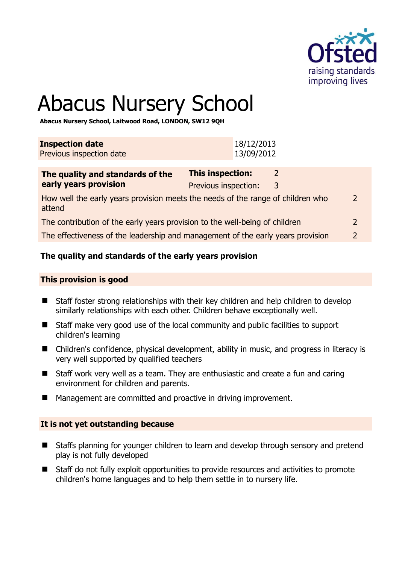

# Abacus Nursery School

**Abacus Nursery School, Laitwood Road, LONDON, SW12 9QH** 

| <b>Inspection date</b><br>Previous inspection date |  |  |  | 18/12/2013<br>13/09/2012                                                                                                                                                                                                       |  |
|----------------------------------------------------|--|--|--|--------------------------------------------------------------------------------------------------------------------------------------------------------------------------------------------------------------------------------|--|
|                                                    |  |  |  |                                                                                                                                                                                                                                |  |
|                                                    |  |  |  | the first contract and contract to the contract of the contract of the contract of the contract of the contract of the contract of the contract of the contract of the contract of the contract of the contract of the contrac |  |

| The quality and standards of the                                                          | <b>This inspection:</b> |   |               |
|-------------------------------------------------------------------------------------------|-------------------------|---|---------------|
| early years provision                                                                     | Previous inspection:    | 3 |               |
| How well the early years provision meets the needs of the range of children who<br>attend |                         |   | $\mathcal{L}$ |
| The contribution of the early years provision to the well-being of children               |                         |   |               |
| The effectiveness of the leadership and management of the early years provision           |                         |   |               |

# **The quality and standards of the early years provision**

#### **This provision is good**

- Staff foster strong relationships with their key children and help children to develop similarly relationships with each other. Children behave exceptionally well.
- Staff make very good use of the local community and public facilities to support children's learning
- Children's confidence, physical development, ability in music, and progress in literacy is very well supported by qualified teachers
- Staff work very well as a team. They are enthusiastic and create a fun and caring environment for children and parents.
- Management are committed and proactive in driving improvement.

#### **It is not yet outstanding because**

- Staffs planning for younger children to learn and develop through sensory and pretend play is not fully developed
- Staff do not fully exploit opportunities to provide resources and activities to promote children's home languages and to help them settle in to nursery life.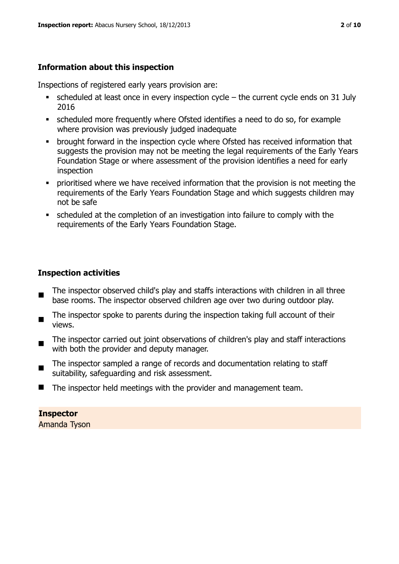# **Information about this inspection**

Inspections of registered early years provision are:

- $\blacksquare$  scheduled at least once in every inspection cycle the current cycle ends on 31 July 2016
- scheduled more frequently where Ofsted identifies a need to do so, for example where provision was previously judged inadequate
- **•** brought forward in the inspection cycle where Ofsted has received information that suggests the provision may not be meeting the legal requirements of the Early Years Foundation Stage or where assessment of the provision identifies a need for early inspection
- **•** prioritised where we have received information that the provision is not meeting the requirements of the Early Years Foundation Stage and which suggests children may not be safe
- scheduled at the completion of an investigation into failure to comply with the requirements of the Early Years Foundation Stage.

# **Inspection activities**

- The inspector observed child's play and staffs interactions with children in all three base rooms. The inspector observed children age over two during outdoor play.
- The inspector spoke to parents during the inspection taking full account of their views.
- The inspector carried out joint observations of children's play and staff interactions with both the provider and deputy manager.
- The inspector sampled a range of records and documentation relating to staff suitability, safeguarding and risk assessment.
- The inspector held meetings with the provider and management team.

#### **Inspector**  Amanda Tyson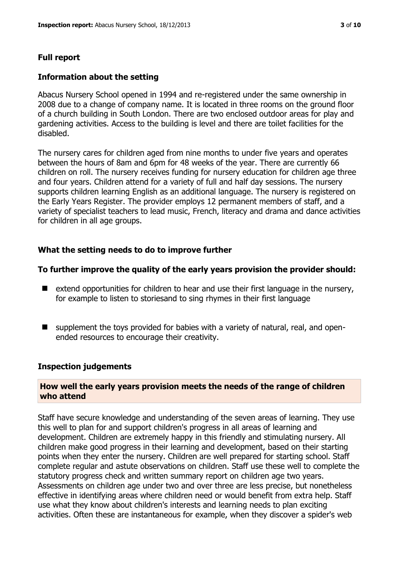# **Full report**

#### **Information about the setting**

Abacus Nursery School opened in 1994 and re-registered under the same ownership in 2008 due to a change of company name. It is located in three rooms on the ground floor of a church building in South London. There are two enclosed outdoor areas for play and gardening activities. Access to the building is level and there are toilet facilities for the disabled.

The nursery cares for children aged from nine months to under five years and operates between the hours of 8am and 6pm for 48 weeks of the year. There are currently 66 children on roll. The nursery receives funding for nursery education for children age three and four years. Children attend for a variety of full and half day sessions. The nursery supports children learning English as an additional language. The nursery is registered on the Early Years Register. The provider employs 12 permanent members of staff, and a variety of specialist teachers to lead music, French, literacy and drama and dance activities for children in all age groups.

# **What the setting needs to do to improve further**

# **To further improve the quality of the early years provision the provider should:**

- $\blacksquare$  extend opportunities for children to hear and use their first language in the nursery, for example to listen to storiesand to sing rhymes in their first language
- supplement the toys provided for babies with a variety of natural, real, and openended resources to encourage their creativity.

# **Inspection judgements**

#### **How well the early years provision meets the needs of the range of children who attend**

Staff have secure knowledge and understanding of the seven areas of learning. They use this well to plan for and support children's progress in all areas of learning and development. Children are extremely happy in this friendly and stimulating nursery. All children make good progress in their learning and development, based on their starting points when they enter the nursery. Children are well prepared for starting school. Staff complete regular and astute observations on children. Staff use these well to complete the statutory progress check and written summary report on children age two years. Assessments on children age under two and over three are less precise, but nonetheless effective in identifying areas where children need or would benefit from extra help. Staff use what they know about children's interests and learning needs to plan exciting activities. Often these are instantaneous for example, when they discover a spider's web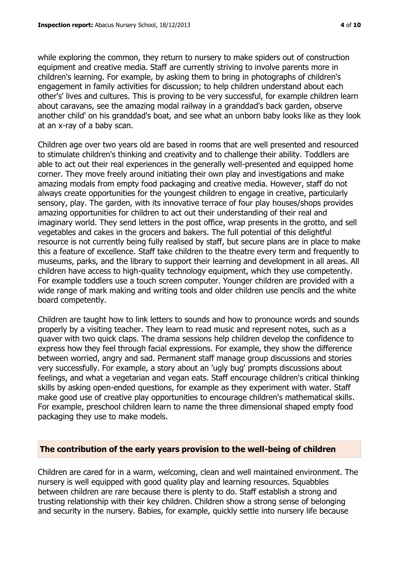while exploring the common, they return to nursery to make spiders out of construction equipment and creative media. Staff are currently striving to involve parents more in children's learning. For example, by asking them to bring in photographs of children's engagement in family activities for discussion; to help children understand about each other's' lives and cultures. This is proving to be very successful, for example children learn about caravans, see the amazing modal railway in a granddad's back garden, observe another child' on his granddad's boat, and see what an unborn baby looks like as they look at an x-ray of a baby scan.

Children age over two years old are based in rooms that are well presented and resourced to stimulate children's thinking and creativity and to challenge their ability. Toddlers are able to act out their real experiences in the generally well-presented and equipped home corner. They move freely around initiating their own play and investigations and make amazing modals from empty food packaging and creative media. However, staff do not always create opportunities for the youngest children to engage in creative, particularly sensory, play. The garden, with its innovative terrace of four play houses/shops provides amazing opportunities for children to act out their understanding of their real and imaginary world. They send letters in the post office, wrap presents in the grotto, and sell vegetables and cakes in the grocers and bakers. The full potential of this delightful resource is not currently being fully realised by staff, but secure plans are in place to make this a feature of excellence. Staff take children to the theatre every term and frequently to museums, parks, and the library to support their learning and development in all areas. All children have access to high-quality technology equipment, which they use competently. For example toddlers use a touch screen computer. Younger children are provided with a wide range of mark making and writing tools and older children use pencils and the white board competently.

Children are taught how to link letters to sounds and how to pronounce words and sounds properly by a visiting teacher. They learn to read music and represent notes, such as a quaver with two quick claps. The drama sessions help children develop the confidence to express how they feel through facial expressions. For example, they show the difference between worried, angry and sad. Permanent staff manage group discussions and stories very successfully. For example, a story about an 'ugly bug' prompts discussions about feelings, and what a vegetarian and vegan eats. Staff encourage children's critical thinking skills by asking open-ended questions, for example as they experiment with water. Staff make good use of creative play opportunities to encourage children's mathematical skills. For example, preschool children learn to name the three dimensional shaped empty food packaging they use to make models.

#### **The contribution of the early years provision to the well-being of children**

Children are cared for in a warm, welcoming, clean and well maintained environment. The nursery is well equipped with good quality play and learning resources. Squabbles between children are rare because there is plenty to do. Staff establish a strong and trusting relationship with their key children. Children show a strong sense of belonging and security in the nursery. Babies, for example, quickly settle into nursery life because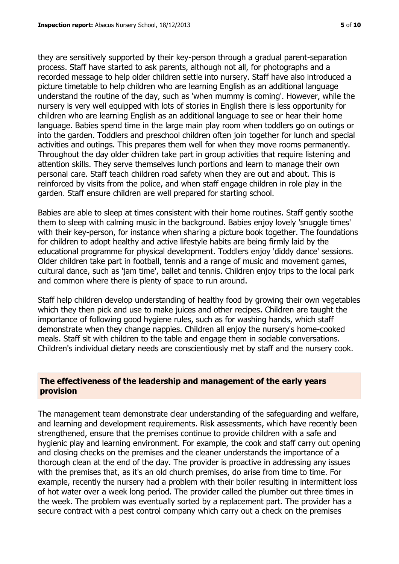they are sensitively supported by their key-person through a gradual parent-separation process. Staff have started to ask parents, although not all, for photographs and a recorded message to help older children settle into nursery. Staff have also introduced a picture timetable to help children who are learning English as an additional language understand the routine of the day, such as 'when mummy is coming'. However, while the nursery is very well equipped with lots of stories in English there is less opportunity for children who are learning English as an additional language to see or hear their home language. Babies spend time in the large main play room when toddlers go on outings or into the garden. Toddlers and preschool children often join together for lunch and special activities and outings. This prepares them well for when they move rooms permanently. Throughout the day older children take part in group activities that require listening and attention skills. They serve themselves lunch portions and learn to manage their own personal care. Staff teach children road safety when they are out and about. This is reinforced by visits from the police, and when staff engage children in role play in the garden. Staff ensure children are well prepared for starting school.

Babies are able to sleep at times consistent with their home routines. Staff gently soothe them to sleep with calming music in the background. Babies enjoy lovely 'snuggle times' with their key-person, for instance when sharing a picture book together. The foundations for children to adopt healthy and active lifestyle habits are being firmly laid by the educational programme for physical development. Toddlers enjoy 'diddy dance' sessions. Older children take part in football, tennis and a range of music and movement games, cultural dance, such as 'jam time', ballet and tennis. Children enjoy trips to the local park and common where there is plenty of space to run around.

Staff help children develop understanding of healthy food by growing their own vegetables which they then pick and use to make juices and other recipes. Children are taught the importance of following good hygiene rules, such as for washing hands, which staff demonstrate when they change nappies. Children all enjoy the nursery's home-cooked meals. Staff sit with children to the table and engage them in sociable conversations. Children's individual dietary needs are conscientiously met by staff and the nursery cook.

#### **The effectiveness of the leadership and management of the early years provision**

The management team demonstrate clear understanding of the safeguarding and welfare, and learning and development requirements. Risk assessments, which have recently been strengthened, ensure that the premises continue to provide children with a safe and hygienic play and learning environment. For example, the cook and staff carry out opening and closing checks on the premises and the cleaner understands the importance of a thorough clean at the end of the day. The provider is proactive in addressing any issues with the premises that, as it's an old church premises, do arise from time to time. For example, recently the nursery had a problem with their boiler resulting in intermittent loss of hot water over a week long period. The provider called the plumber out three times in the week. The problem was eventually sorted by a replacement part. The provider has a secure contract with a pest control company which carry out a check on the premises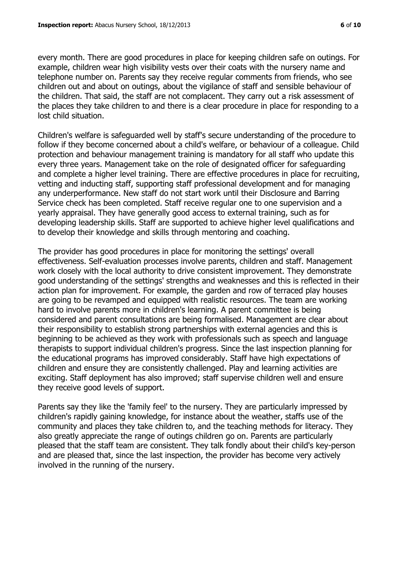every month. There are good procedures in place for keeping children safe on outings. For example, children wear high visibility vests over their coats with the nursery name and telephone number on. Parents say they receive regular comments from friends, who see children out and about on outings, about the vigilance of staff and sensible behaviour of the children. That said, the staff are not complacent. They carry out a risk assessment of the places they take children to and there is a clear procedure in place for responding to a lost child situation.

Children's welfare is safeguarded well by staff's secure understanding of the procedure to follow if they become concerned about a child's welfare, or behaviour of a colleague. Child protection and behaviour management training is mandatory for all staff who update this every three years. Management take on the role of designated officer for safeguarding and complete a higher level training. There are effective procedures in place for recruiting, vetting and inducting staff, supporting staff professional development and for managing any underperformance. New staff do not start work until their Disclosure and Barring Service check has been completed. Staff receive regular one to one supervision and a yearly appraisal. They have generally good access to external training, such as for developing leadership skills. Staff are supported to achieve higher level qualifications and to develop their knowledge and skills through mentoring and coaching.

The provider has good procedures in place for monitoring the settings' overall effectiveness. Self-evaluation processes involve parents, children and staff. Management work closely with the local authority to drive consistent improvement. They demonstrate good understanding of the settings' strengths and weaknesses and this is reflected in their action plan for improvement. For example, the garden and row of terraced play houses are going to be revamped and equipped with realistic resources. The team are working hard to involve parents more in children's learning. A parent committee is being considered and parent consultations are being formalised. Management are clear about their responsibility to establish strong partnerships with external agencies and this is beginning to be achieved as they work with professionals such as speech and language therapists to support individual children's progress. Since the last inspection planning for the educational programs has improved considerably. Staff have high expectations of children and ensure they are consistently challenged. Play and learning activities are exciting. Staff deployment has also improved; staff supervise children well and ensure they receive good levels of support.

Parents say they like the 'family feel' to the nursery. They are particularly impressed by children's rapidly gaining knowledge, for instance about the weather, staffs use of the community and places they take children to, and the teaching methods for literacy. They also greatly appreciate the range of outings children go on. Parents are particularly pleased that the staff team are consistent. They talk fondly about their child's key-person and are pleased that, since the last inspection, the provider has become very actively involved in the running of the nursery.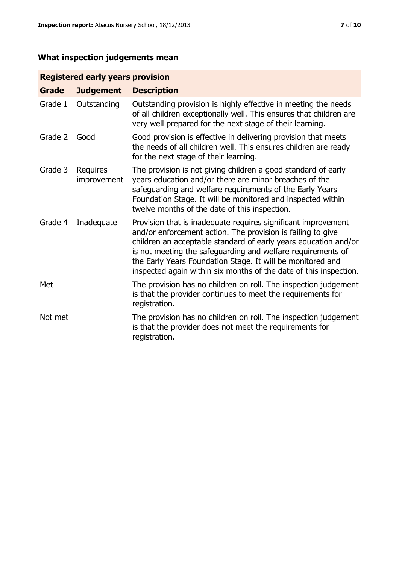# **What inspection judgements mean**

# **Registered early years provision**

| <b>Grade</b> | <b>Judgement</b>        | <b>Description</b>                                                                                                                                                                                                                                                                                                                                                                                |
|--------------|-------------------------|---------------------------------------------------------------------------------------------------------------------------------------------------------------------------------------------------------------------------------------------------------------------------------------------------------------------------------------------------------------------------------------------------|
| Grade 1      | Outstanding             | Outstanding provision is highly effective in meeting the needs<br>of all children exceptionally well. This ensures that children are<br>very well prepared for the next stage of their learning.                                                                                                                                                                                                  |
| Grade 2      | Good                    | Good provision is effective in delivering provision that meets<br>the needs of all children well. This ensures children are ready<br>for the next stage of their learning.                                                                                                                                                                                                                        |
| Grade 3      | Requires<br>improvement | The provision is not giving children a good standard of early<br>years education and/or there are minor breaches of the<br>safeguarding and welfare requirements of the Early Years<br>Foundation Stage. It will be monitored and inspected within<br>twelve months of the date of this inspection.                                                                                               |
| Grade 4      | Inadequate              | Provision that is inadequate requires significant improvement<br>and/or enforcement action. The provision is failing to give<br>children an acceptable standard of early years education and/or<br>is not meeting the safeguarding and welfare requirements of<br>the Early Years Foundation Stage. It will be monitored and<br>inspected again within six months of the date of this inspection. |
| Met          |                         | The provision has no children on roll. The inspection judgement<br>is that the provider continues to meet the requirements for<br>registration.                                                                                                                                                                                                                                                   |
| Not met      |                         | The provision has no children on roll. The inspection judgement<br>is that the provider does not meet the requirements for<br>registration.                                                                                                                                                                                                                                                       |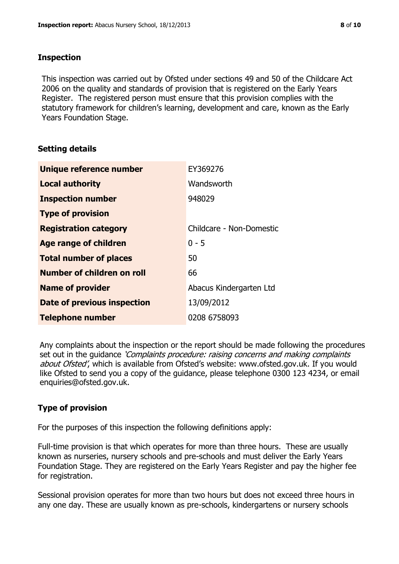#### **Inspection**

This inspection was carried out by Ofsted under sections 49 and 50 of the Childcare Act 2006 on the quality and standards of provision that is registered on the Early Years Register. The registered person must ensure that this provision complies with the statutory framework for children's learning, development and care, known as the Early Years Foundation Stage.

# **Setting details**

| Unique reference number       | EY369276                 |
|-------------------------------|--------------------------|
| <b>Local authority</b>        | Wandsworth               |
| <b>Inspection number</b>      | 948029                   |
| <b>Type of provision</b>      |                          |
| <b>Registration category</b>  | Childcare - Non-Domestic |
| Age range of children         | $0 - 5$                  |
| <b>Total number of places</b> | 50                       |
| Number of children on roll    | 66                       |
| <b>Name of provider</b>       | Abacus Kindergarten Ltd  |
| Date of previous inspection   | 13/09/2012               |
| <b>Telephone number</b>       | 0208 6758093             |

Any complaints about the inspection or the report should be made following the procedures set out in the guidance *'Complaints procedure: raising concerns and making complaints* about Ofsted', which is available from Ofsted's website: www.ofsted.gov.uk. If you would like Ofsted to send you a copy of the guidance, please telephone 0300 123 4234, or email enquiries@ofsted.gov.uk.

# **Type of provision**

For the purposes of this inspection the following definitions apply:

Full-time provision is that which operates for more than three hours. These are usually known as nurseries, nursery schools and pre-schools and must deliver the Early Years Foundation Stage. They are registered on the Early Years Register and pay the higher fee for registration.

Sessional provision operates for more than two hours but does not exceed three hours in any one day. These are usually known as pre-schools, kindergartens or nursery schools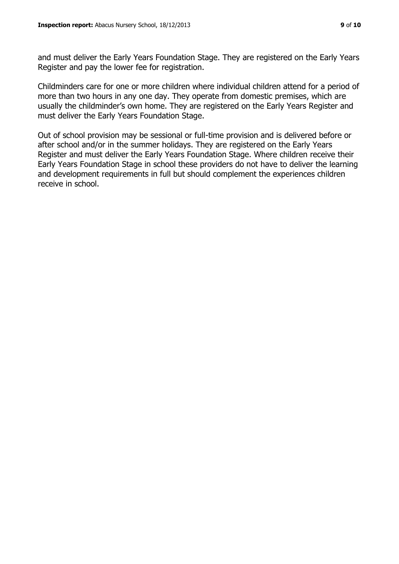and must deliver the Early Years Foundation Stage. They are registered on the Early Years Register and pay the lower fee for registration.

Childminders care for one or more children where individual children attend for a period of more than two hours in any one day. They operate from domestic premises, which are usually the childminder's own home. They are registered on the Early Years Register and must deliver the Early Years Foundation Stage.

Out of school provision may be sessional or full-time provision and is delivered before or after school and/or in the summer holidays. They are registered on the Early Years Register and must deliver the Early Years Foundation Stage. Where children receive their Early Years Foundation Stage in school these providers do not have to deliver the learning and development requirements in full but should complement the experiences children receive in school.